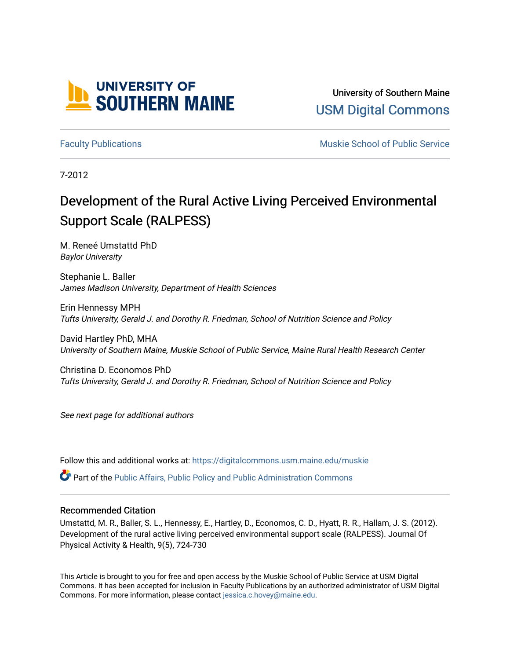

University of Southern Maine [USM Digital Commons](https://digitalcommons.usm.maine.edu/) 

[Faculty Publications](https://digitalcommons.usm.maine.edu/muskie) **Faculty Publications Muskie School of Public Service** 

7-2012

# Development of the Rural Active Living Perceived Environmental Support Scale (RALPESS)

M. Reneé Umstattd PhD Baylor University

Stephanie L. Baller James Madison University, Department of Health Sciences

Erin Hennessy MPH Tufts University, Gerald J. and Dorothy R. Friedman, School of Nutrition Science and Policy

David Hartley PhD, MHA University of Southern Maine, Muskie School of Public Service, Maine Rural Health Research Center

Christina D. Economos PhD Tufts University, Gerald J. and Dorothy R. Friedman, School of Nutrition Science and Policy

See next page for additional authors

Follow this and additional works at: [https://digitalcommons.usm.maine.edu/muskie](https://digitalcommons.usm.maine.edu/muskie?utm_source=digitalcommons.usm.maine.edu%2Fmuskie%2F4&utm_medium=PDF&utm_campaign=PDFCoverPages) 

Part of the [Public Affairs, Public Policy and Public Administration Commons](http://network.bepress.com/hgg/discipline/393?utm_source=digitalcommons.usm.maine.edu%2Fmuskie%2F4&utm_medium=PDF&utm_campaign=PDFCoverPages) 

#### Recommended Citation

Umstattd, M. R., Baller, S. L., Hennessy, E., Hartley, D., Economos, C. D., Hyatt, R. R., Hallam, J. S. (2012). Development of the rural active living perceived environmental support scale (RALPESS). Journal Of Physical Activity & Health, 9(5), 724-730

This Article is brought to you for free and open access by the Muskie School of Public Service at USM Digital Commons. It has been accepted for inclusion in Faculty Publications by an authorized administrator of USM Digital Commons. For more information, please contact [jessica.c.hovey@maine.edu.](mailto:ian.fowler@maine.edu)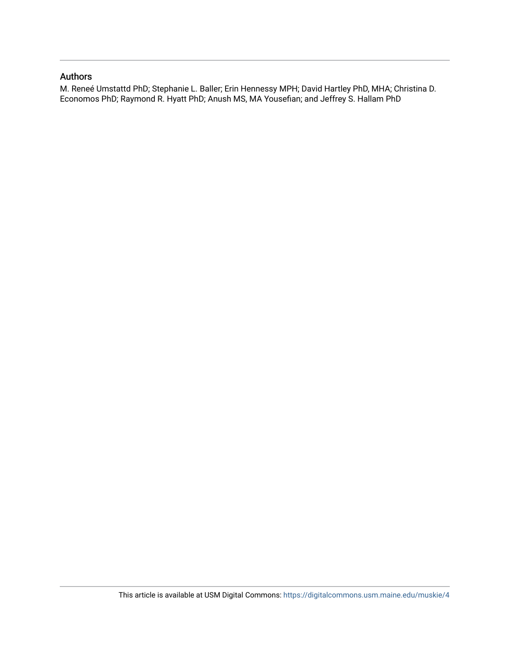### Authors

M. Reneé Umstattd PhD; Stephanie L. Baller; Erin Hennessy MPH; David Hartley PhD, MHA; Christina D. Economos PhD; Raymond R. Hyatt PhD; Anush MS, MA Yousefian; and Jeffrey S. Hallam PhD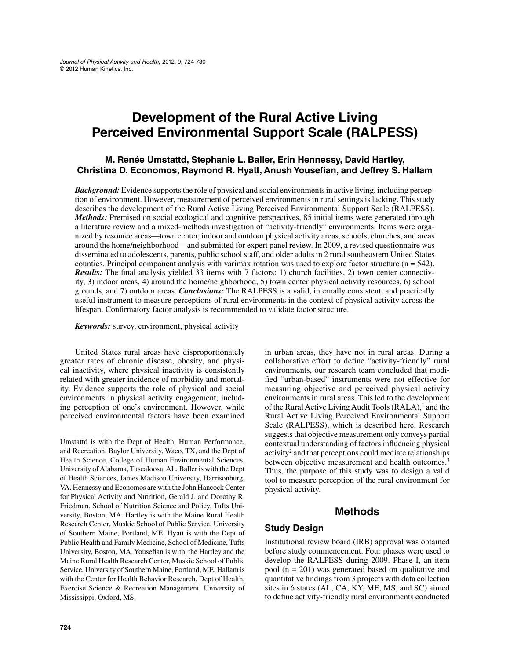# **Development of the Rural Active Living Perceived Environmental Support Scale (RALPESS)**

### **M. Renée Umstattd, Stephanie L. Baller, Erin Hennessy, David Hartley, Christina D. Economos, Raymond R. Hyatt, Anush Yousefian, and Jeffrey S. Hallam**

*Background:* Evidence supports the role of physical and social environments in active living, including perception of environment. However, measurement of perceived environments in rural settings is lacking. This study describes the development of the Rural Active Living Perceived Environmental Support Scale (RALPESS). *Methods:* Premised on social ecological and cognitive perspectives, 85 initial items were generated through a literature review and a mixed-methods investigation of "activity-friendly" environments. Items were organized by resource areas—town center, indoor and outdoor physical activity areas, schools, churches, and areas around the home/neighborhood—and submitted for expert panel review. In 2009, a revised questionnaire was disseminated to adolescents, parents, public school staff, and older adults in 2 rural southeastern United States counties. Principal component analysis with varimax rotation was used to explore factor structure ( $n = 542$ ). *Results:* The final analysis yielded 33 items with 7 factors: 1) church facilities, 2) town center connectivity, 3) indoor areas, 4) around the home/neighborhood, 5) town center physical activity resources, 6) school grounds, and 7) outdoor areas. *Conclusions:* The RALPESS is a valid, internally consistent, and practically useful instrument to measure perceptions of rural environments in the context of physical activity across the lifespan. Confirmatory factor analysis is recommended to validate factor structure.

*Keywords:* survey, environment, physical activity

United States rural areas have disproportionately greater rates of chronic disease, obesity, and physical inactivity, where physical inactivity is consistently related with greater incidence of morbidity and mortality. Evidence supports the role of physical and social environments in physical activity engagement, including perception of one's environment. However, while perceived environmental factors have been examined

in urban areas, they have not in rural areas. During a collaborative effort to define "activity-friendly" rural environments, our research team concluded that modified "urban-based" instruments were not effective for measuring objective and perceived physical activity environments in rural areas. This led to the development of the Rural Active Living Audit Tools  $(RALA)$ ,<sup>1</sup> and the Rural Active Living Perceived Environmental Support Scale (RALPESS), which is described here. Research suggests that objective measurement only conveys partial contextual understanding of factors influencing physical activity2 and that perceptions could mediate relationships between objective measurement and health outcomes.<sup>3</sup> Thus, the purpose of this study was to design a valid tool to measure perception of the rural environment for physical activity.

### **Methods**

#### **Study Design**

Institutional review board (IRB) approval was obtained before study commencement. Four phases were used to develop the RALPESS during 2009. Phase I, an item pool (n = 201) was generated based on qualitative and quantitative findings from 3 projects with data collection sites in 6 states (AL, CA, KY, ME, MS, and SC) aimed to define activity-friendly rural environments conducted

Umstattd is with the Dept of Health, Human Performance, and Recreation, Baylor University, Waco, TX, and the Dept of Health Science, College of Human Environmental Sciences, University of Alabama, Tuscaloosa, AL. Baller is with the Dept of Health Sciences, James Madison University, Harrisonburg, VA. Hennessy and Economos are with the John Hancock Center for Physical Activity and Nutrition, Gerald J. and Dorothy R. Friedman, School of Nutrition Science and Policy, Tufts University, Boston, MA. Hartley is with the Maine Rural Health Research Center, Muskie School of Public Service, University of Southern Maine, Portland, ME. Hyatt is with the Dept of Public Health and Family Medicine, School of Medicine, Tufts University, Boston, MA. Yousefian is with the Hartley and the Maine Rural Health Research Center, Muskie School of Public Service, University of Southern Maine, Portland, ME. Hallam is with the Center for Health Behavior Research, Dept of Health, Exercise Science & Recreation Management, University of Mississippi, Oxford, MS.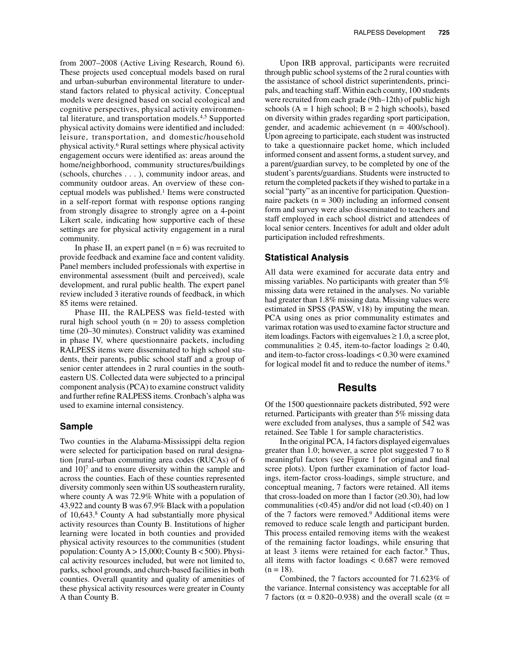from 2007–2008 (Active Living Research, Round 6). These projects used conceptual models based on rural and urban-suburban environmental literature to understand factors related to physical activity. Conceptual models were designed based on social ecological and cognitive perspectives, physical activity environmental literature, and transportation models.4,5 Supported physical activity domains were identified and included: leisure, transportation, and domestic/household physical activity.6 Rural settings where physical activity engagement occurs were identified as: areas around the home/neighborhood, community structures/buildings (schools, churches . . . ), community indoor areas, and community outdoor areas. An overview of these conceptual models was published.<sup>1</sup> Items were constructed in a self-report format with response options ranging from strongly disagree to strongly agree on a 4-point Likert scale, indicating how supportive each of these settings are for physical activity engagement in a rural community.

In phase II, an expert panel  $(n = 6)$  was recruited to provide feedback and examine face and content validity. Panel members included professionals with expertise in environmental assessment (built and perceived), scale development, and rural public health. The expert panel review included 3 iterative rounds of feedback, in which 85 items were retained.

Phase III, the RALPESS was field-tested with rural high school youth  $(n = 20)$  to assess completion time (20–30 minutes). Construct validity was examined in phase IV, where questionnaire packets, including RALPESS items were disseminated to high school students, their parents, public school staff and a group of senior center attendees in 2 rural counties in the southeastern US. Collected data were subjected to a principal component analysis (PCA) to examine construct validity and further refine RALPESS items. Cronbach's alpha was used to examine internal consistency.

#### **Sample**

Two counties in the Alabama-Mississippi delta region were selected for participation based on rural designation [rural-urban commuting area codes (RUCAs) of 6 and  $10$ <sup> $7$ </sup> and to ensure diversity within the sample and across the counties. Each of these counties represented diversity commonly seen within US southeastern rurality, where county A was 72.9% White with a population of 43,922 and county B was 67.9% Black with a population of 10,643.8 County A had substantially more physical activity resources than County B. Institutions of higher learning were located in both counties and provided physical activity resources to the communities (student population: County  $A > 15,000$ ; County  $B < 500$ ). Physical activity resources included, but were not limited to, parks, school grounds, and church-based facilities in both counties. Overall quantity and quality of amenities of these physical activity resources were greater in County A than County B.

Upon IRB approval, participants were recruited through public school systems of the 2 rural counties with the assistance of school district superintendents, principals, and teaching staff. Within each county, 100 students were recruited from each grade (9th–12th) of public high schools  $(A = 1$  high school;  $B = 2$  high schools), based on diversity within grades regarding sport participation, gender, and academic achievement (n = 400/school). Upon agreeing to participate, each student was instructed to take a questionnaire packet home, which included informed consent and assent forms, a student survey, and a parent/guardian survey, to be completed by one of the student's parents/guardians. Students were instructed to return the completed packets if they wished to partake in a social "party" as an incentive for participation. Questionnaire packets ( $n = 300$ ) including an informed consent form and survey were also disseminated to teachers and staff employed in each school district and attendees of local senior centers. Incentives for adult and older adult participation included refreshments.

#### **Statistical Analysis**

All data were examined for accurate data entry and missing variables. No participants with greater than 5% missing data were retained in the analyses. No variable had greater than 1.8% missing data. Missing values were estimated in SPSS (PASW, v18) by imputing the mean. PCA using ones as prior communality estimates and varimax rotation was used to examine factor structure and item loadings. Factors with eigenvalues  $\geq 1.0$ , a scree plot, communalities  $\geq 0.45$ , item-to-factor loadings  $\geq 0.40$ , and item-to-factor cross-loadings < 0.30 were examined for logical model fit and to reduce the number of items.<sup>9</sup>

#### **Results**

Of the 1500 questionnaire packets distributed, 592 were returned. Participants with greater than 5% missing data were excluded from analyses, thus a sample of 542 was retained. See Table 1 for sample characteristics.

In the original PCA, 14 factors displayed eigenvalues greater than 1.0; however, a scree plot suggested 7 to 8 meaningful factors (see Figure 1 for original and final scree plots). Upon further examination of factor loadings, item-factor cross-loadings, simple structure, and conceptual meaning, 7 factors were retained. All items that cross-loaded on more than 1 factor  $(\geq 0.30)$ , had low communalities  $\left($ <0.45) and/or did not load  $\left($ <0.40) on 1 of the 7 factors were removed.9 Additional items were removed to reduce scale length and participant burden. This process entailed removing items with the weakest of the remaining factor loadings, while ensuring that at least 3 items were retained for each factor.9 Thus, all items with factor loadings < 0.687 were removed  $(n = 18)$ .

Combined, the 7 factors accounted for 71.623% of the variance. Internal consistency was acceptable for all 7 factors ( $\alpha$  = 0.820–0.938) and the overall scale ( $\alpha$  =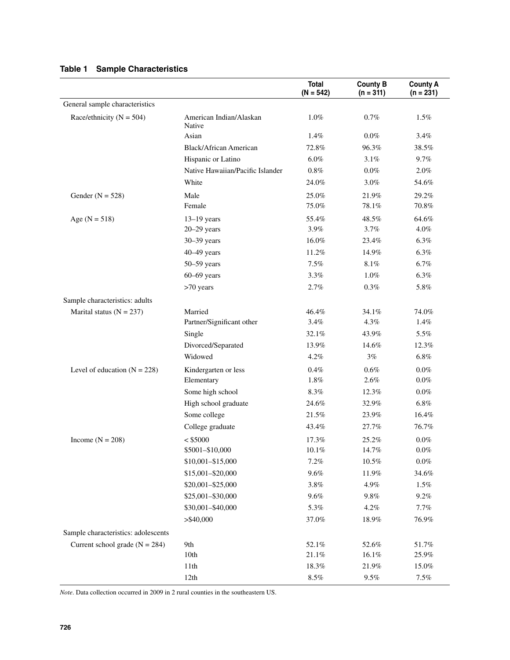|                                     |                                   | <b>Total</b><br>$(N = 542)$ | <b>County B</b><br>$(n = 311)$ | <b>County A</b><br>$(n = 231)$ |
|-------------------------------------|-----------------------------------|-----------------------------|--------------------------------|--------------------------------|
| General sample characteristics      |                                   |                             |                                |                                |
| Race/ethnicity ( $N = 504$ )        | American Indian/Alaskan<br>Native | 1.0%                        | 0.7%                           | 1.5%                           |
|                                     | Asian                             | 1.4%                        | $0.0\%$                        | 3.4%                           |
|                                     | <b>Black/African American</b>     | 72.8%                       | 96.3%                          | 38.5%                          |
|                                     | Hispanic or Latino                | $6.0\%$                     | 3.1%                           | 9.7%                           |
|                                     | Native Hawaiian/Pacific Islander  | $0.8\%$                     | $0.0\%$                        | 2.0%                           |
|                                     | White                             | 24.0%                       | 3.0%                           | 54.6%                          |
| Gender ( $N = 528$ )                | Male<br>Female                    | 25.0%<br>75.0%              | 21.9%<br>78.1%                 | 29.2%<br>$70.8\%$              |
| Age $(N = 518)$                     | $13-19$ years                     | 55.4%                       | 48.5%                          | 64.6%                          |
|                                     | $20 - 29$ years                   | 3.9%                        | 3.7%                           | 4.0%                           |
|                                     | $30 - 39$ years                   | 16.0%                       | 23.4%                          | 6.3%                           |
|                                     | $40-49$ years                     | 11.2%                       | 14.9%                          | 6.3%                           |
|                                     | $50 - 59$ years                   | 7.5%                        | 8.1%                           | 6.7%                           |
|                                     | $60-69$ years                     | 3.3%                        | 1.0%                           | 6.3%                           |
|                                     | >70 years                         | 2.7%                        | 0.3%                           | 5.8%                           |
| Sample characteristics: adults      |                                   |                             |                                |                                |
| Marital status ( $N = 237$ )        | Married                           | 46.4%                       | 34.1%                          | 74.0%                          |
|                                     | Partner/Significant other         | 3.4%                        | 4.3%                           | 1.4%                           |
|                                     | Single                            | 32.1%                       | 43.9%                          | 5.5%                           |
|                                     | Divorced/Separated                | 13.9%                       | 14.6%                          | 12.3%                          |
|                                     | Widowed                           | 4.2%                        | 3%                             | $6.8\%$                        |
| Level of education $(N = 228)$      | Kindergarten or less              | 0.4%                        | $0.6\%$                        | $0.0\%$                        |
|                                     | Elementary                        | 1.8%                        | 2.6%                           | $0.0\%$                        |
|                                     | Some high school                  | 8.3%                        | 12.3%                          | $0.0\%$                        |
|                                     | High school graduate              | 24.6%                       | 32.9%                          | 6.8%                           |
|                                     | Some college                      | 21.5%                       | 23.9%                          | 16.4%                          |
|                                     | College graduate                  | 43.4%                       | 27.7%                          | 76.7%                          |
| Income $(N = 208)$                  | $<$ \$5000                        | 17.3%                       | 25.2%                          | $0.0\%$                        |
|                                     | \$5001-\$10,000                   | 10.1%                       | 14.7%                          | $0.0\%$                        |
|                                     | \$10,001-\$15,000                 | 7.2%                        | 10.5%                          | $0.0\%$                        |
|                                     | \$15,001-\$20,000                 | $9.6\%$                     | 11.9%                          | 34.6%                          |
|                                     | \$20,001-\$25,000                 | 3.8%                        | 4.9%                           | $1.5\%$                        |
|                                     | \$25,001-\$30,000                 | 9.6%                        | $9.8\%$                        | 9.2%                           |
|                                     | \$30,001-\$40,000                 | 5.3%                        | 4.2%                           | 7.7%                           |
|                                     | $>$ \$40,000                      | 37.0%                       | 18.9%                          | 76.9%                          |
| Sample characteristics: adolescents |                                   |                             |                                |                                |
| Current school grade ( $N = 284$ )  | 9th                               | 52.1%                       | 52.6%                          | 51.7%                          |
|                                     | 10th                              | 21.1%                       | 16.1%                          | 25.9%                          |
|                                     | 11th                              | 18.3%                       | 21.9%                          | 15.0%                          |
|                                     | 12th                              | $8.5\%$                     | $9.5\%$                        | $7.5\%$                        |

*Note*. Data collection occurred in 2009 in 2 rural counties in the southeastern US.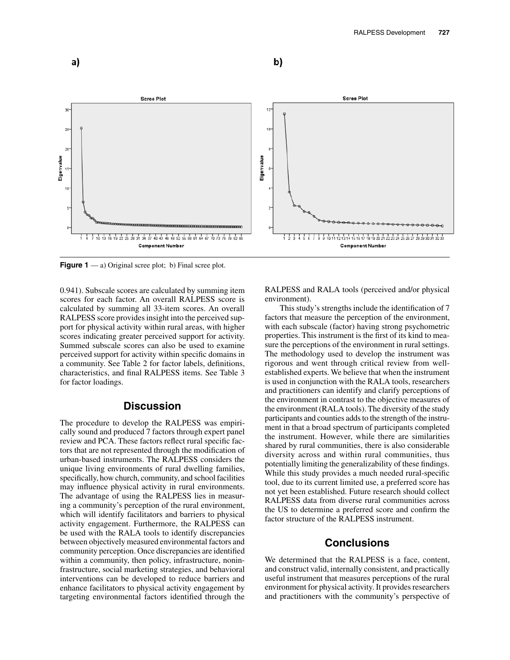



**Figure 1** — a) Original scree plot; b) Final scree plot.

0.941). Subscale scores are calculated by summing item scores for each factor. An overall RALPESS score is calculated by summing all 33-item scores. An overall RALPESS score provides insight into the perceived support for physical activity within rural areas, with higher scores indicating greater perceived support for activity. Summed subscale scores can also be used to examine perceived support for activity within specific domains in a community. See Table 2 for factor labels, definitions, characteristics, and final RALPESS items. See Table 3 for factor loadings.

#### **Discussion**

The procedure to develop the RALPESS was empirically sound and produced 7 factors through expert panel review and PCA. These factors reflect rural specific factors that are not represented through the modification of urban-based instruments. The RALPESS considers the unique living environments of rural dwelling families, specifically, how church, community, and school facilities may influence physical activity in rural environments. The advantage of using the RALPESS lies in measuring a community's perception of the rural environment, which will identify facilitators and barriers to physical activity engagement. Furthermore, the RALPESS can be used with the RALA tools to identify discrepancies between objectively measured environmental factors and community perception. Once discrepancies are identified within a community, then policy, infrastructure, noninfrastructure, social marketing strategies, and behavioral interventions can be developed to reduce barriers and enhance facilitators to physical activity engagement by targeting environmental factors identified through the

RALPESS and RALA tools (perceived and/or physical environment).

This study's strengths include the identification of 7 factors that measure the perception of the environment, with each subscale (factor) having strong psychometric properties. This instrument is the first of its kind to measure the perceptions of the environment in rural settings. The methodology used to develop the instrument was rigorous and went through critical review from wellestablished experts. We believe that when the instrument is used in conjunction with the RALA tools, researchers and practitioners can identify and clarify perceptions of the environment in contrast to the objective measures of the environment (RALA tools). The diversity of the study participants and counties adds to the strength of the instrument in that a broad spectrum of participants completed the instrument. However, while there are similarities shared by rural communities, there is also considerable diversity across and within rural communities, thus potentially limiting the generalizability of these findings. While this study provides a much needed rural-specific tool, due to its current limited use, a preferred score has not yet been established. Future research should collect RALPESS data from diverse rural communities across the US to determine a preferred score and confirm the factor structure of the RALPESS instrument.

### **Conclusions**

We determined that the RALPESS is a face, content, and construct valid, internally consistent, and practically useful instrument that measures perceptions of the rural environment for physical activity. It provides researchers and practitioners with the community's perspective of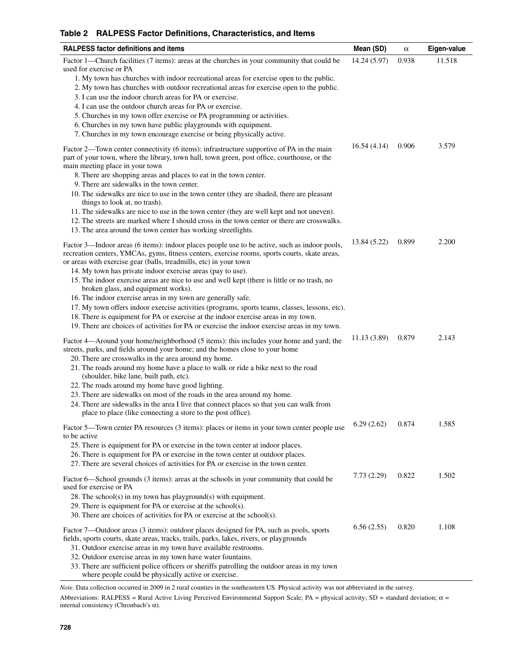#### **Table 2 RALPESS Factor Definitions, Characteristics, and Items**

| <b>RALPESS factor definitions and items</b>                                                                                                                                                                                                                                                                           | Mean (SD)    | $\alpha$ | Eigen-value |
|-----------------------------------------------------------------------------------------------------------------------------------------------------------------------------------------------------------------------------------------------------------------------------------------------------------------------|--------------|----------|-------------|
| Factor 1—Church facilities (7 items): areas at the churches in your community that could be<br>used for exercise or PA                                                                                                                                                                                                | 14.24 (5.97) | 0.938    | 11.518      |
| 1. My town has churches with indoor recreational areas for exercise open to the public.<br>2. My town has churches with outdoor recreational areas for exercise open to the public.<br>3. I can use the indoor church areas for PA or exercise.                                                                       |              |          |             |
| 4. I can use the outdoor church areas for PA or exercise.                                                                                                                                                                                                                                                             |              |          |             |
| 5. Churches in my town offer exercise or PA programming or activities.                                                                                                                                                                                                                                                |              |          |             |
| 6. Churches in my town have public playgrounds with equipment.<br>7. Churches in my town encourage exercise or being physically active.                                                                                                                                                                               |              |          |             |
| Factor 2—Town center connectivity (6 items): infrastructure supportive of PA in the main<br>part of your town, where the library, town hall, town green, post office, courthouse, or the<br>main meeting place in your town                                                                                           | 16.54(4.14)  | 0.906    | 3.579       |
| 8. There are shopping areas and places to eat in the town center.<br>9. There are sidewalks in the town center.                                                                                                                                                                                                       |              |          |             |
| 10. The sidewalks are nice to use in the town center (they are shaded, there are pleasant<br>things to look at, no trash).                                                                                                                                                                                            |              |          |             |
| 11. The sidewalks are nice to use in the town center (they are well kept and not uneven).<br>12. The streets are marked where I should cross in the town center or there are crosswalks.                                                                                                                              |              |          |             |
| 13. The area around the town center has working streetlights.                                                                                                                                                                                                                                                         |              |          |             |
| Factor 3—Indoor areas (6 items): indoor places people use to be active, such as indoor pools,<br>recreation centers, YMCAs, gyms, fitness centers, exercise rooms, sports courts, skate areas,<br>or areas with exercise gear (balls, treadmills, etc) in your town                                                   | 13.84 (5.22) | 0.899    | 2.200       |
| 14. My town has private indoor exercise areas (pay to use).<br>15. The indoor exercise areas are nice to use and well kept (there is little or no trash, no<br>broken glass, and equipment works).                                                                                                                    |              |          |             |
| 16. The indoor exercise areas in my town are generally safe.<br>17. My town offers indoor exercise activities (programs, sports teams, classes, lessons, etc).                                                                                                                                                        |              |          |             |
| 18. There is equipment for PA or exercise at the indoor exercise areas in my town.<br>19. There are choices of activities for PA or exercise the indoor exercise areas in my town.                                                                                                                                    |              |          |             |
| Factor 4—Around your home/neighborhood (5 items): this includes your home and yard; the<br>streets, parks, and fields around your home; and the homes close to your home<br>20. There are crosswalks in the area around my home.<br>21. The roads around my home have a place to walk or ride a bike next to the road | 11.13(3.89)  | 0.879    | 2.143       |
| (shoulder, bike lane, built path, etc).<br>22. The roads around my home have good lighting.                                                                                                                                                                                                                           |              |          |             |
| 23. There are sidewalks on most of the roads in the area around my home.<br>24. There are sidewalks in the area I live that connect places so that you can walk from<br>place to place (like connecting a store to the post office).                                                                                  |              |          |             |
| Factor 5—Town center PA resources (3 items): places or items in your town center people use<br>to be active                                                                                                                                                                                                           | 6.29(2.62)   | 0.874    | 1.585       |
| 25. There is equipment for PA or exercise in the town center at indoor places.<br>26. There is equipment for PA or exercise in the town center at outdoor places.<br>27. There are several choices of activities for PA or exercise in the town center.                                                               |              |          |             |
| Factor 6—School grounds (3 items): areas at the schools in your community that could be<br>used for exercise or PA                                                                                                                                                                                                    | 7.73(2.29)   | 0.822    | 1.502       |
| $28.$ The school(s) in my town has playground(s) with equipment.<br>29. There is equipment for PA or exercise at the school(s).<br>30. There are choices of activities for PA or exercise at the school(s).                                                                                                           |              |          |             |
| Factor 7—Outdoor areas (3 items): outdoor places designed for PA, such as pools, sports<br>fields, sports courts, skate areas, tracks, trails, parks, lakes, rivers, or playgrounds                                                                                                                                   | 6.56(2.55)   | 0.820    | 1.108       |
| 31. Outdoor exercise areas in my town have available restrooms.<br>32. Outdoor exercise areas in my town have water fountains.                                                                                                                                                                                        |              |          |             |
| 33. There are sufficient police officers or sheriffs patrolling the outdoor areas in my town<br>where people could be physically active or exercise.                                                                                                                                                                  |              |          |             |

*Note*. Data collection occurred in 2009 in 2 rural counties in the southeastern US. Physical activity was not abbreviated in the survey.

Abbreviations: RALPESS = Rural Active Living Perceived Environmental Support Scale; PA = physical activity; SD = standard deviation;  $\alpha$  = internal consistency (Chronbach's α).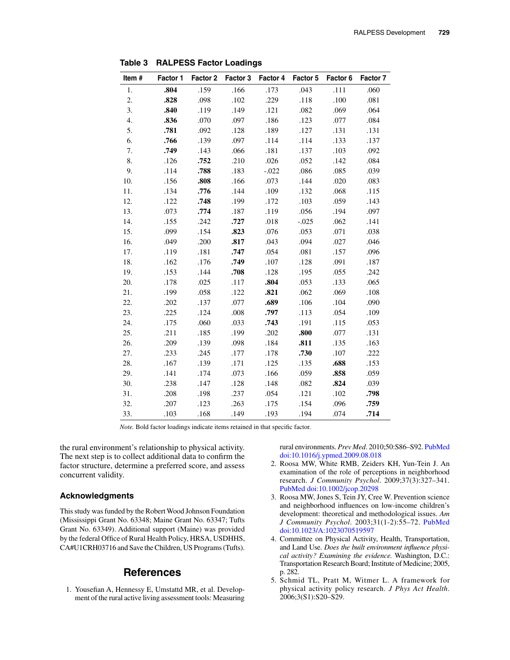| Item#            | Factor 1 | Factor 2 |      | Factor 3 Factor 4 | Factor 5 | Factor 6 | Factor 7 |
|------------------|----------|----------|------|-------------------|----------|----------|----------|
| 1.               | .804     | .159     | .166 | .173              | .043     | .111     | .060     |
| 2.               | .828     | .098     | .102 | .229              | .118     | .100     | .081     |
| 3.               | .840     | .119     | .149 | .121              | .082     | .069     | .064     |
| $\overline{4}$ . | .836     | .070     | .097 | .186              | .123     | .077     | .084     |
| 5.               | .781     | .092     | .128 | .189              | .127     | .131     | .131     |
| 6.               | .766     | .139     | .097 | .114              | .114     | .133     | .137     |
| 7.               | .749     | .143     | .066 | .181              | .137     | .103     | .092     |
| 8.               | .126     | .752     | .210 | .026              | .052     | .142     | .084     |
| 9.               | .114     | .788     | .183 | $-.022$           | .086     | .085     | .039     |
| 10.              | .156     | .808     | .166 | .073              | .144     | .020     | .083     |
| 11.              | .134     | .776     | .144 | .109              | .132     | .068     | .115     |
| 12.              | .122     | .748     | .199 | .172              | .103     | .059     | .143     |
| 13.              | .073     | .774     | .187 | .119              | .056     | .194     | .097     |
| 14.              | .155     | .242     | .727 | .018              | $-.025$  | .062     | .141     |
| 15.              | .099     | .154     | .823 | .076              | .053     | .071     | .038     |
| 16.              | .049     | .200     | .817 | .043              | .094     | .027     | .046     |
| 17.              | .119     | .181     | .747 | .054              | .081     | .157     | .096     |
| 18.              | .162     | .176     | .749 | .107              | .128     | .091     | .187     |
| 19.              | .153     | .144     | .708 | .128              | .195     | .055     | .242     |
| 20.              | .178     | .025     | .117 | .804              | .053     | .133     | .065     |
| 21.              | .199     | .058     | .122 | .821              | .062     | .069     | .108     |
| 22.              | .202     | .137     | .077 | .689              | .106     | .104     | .090     |
| 23.              | .225     | .124     | .008 | .797              | .113     | .054     | .109     |
| 24.              | .175     | .060     | .033 | .743              | .191     | .115     | .053     |
| 25.              | .211     | .185     | .199 | .202              | .800     | .077     | .131     |
| 26.              | .209     | .139     | .098 | .184              | .811     | .135     | .163     |
| 27.              | .233     | .245     | .177 | .178              | .730     | .107     | .222     |
| 28.              | .167     | .139     | .171 | .125              | .135     | .688     | .153     |
| 29.              | .141     | .174     | .073 | .166              | .059     | .858     | .059     |
| 30.              | .238     | .147     | .128 | .148              | .082     | .824     | .039     |
| 31.              | .208     | .198     | .237 | .054              | .121     | .102     | .798     |
| 32.              | .207     | .123     | .263 | .175              | .154     | .096     | .759     |
| 33.              | .103     | .168     | .149 | .193              | .194     | .074     | .714     |

**Table 3 RALPESS Factor Loadings**

*Note.* Bold factor loadings indicate items retained in that specific factor.

the rural environment's relationship to physical activity. The next step is to collect additional data to confirm the factor structure, determine a preferred score, and assess concurrent validity.

#### **Acknowledgments**

This study was funded by the Robert Wood Johnson Foundation (Mississippi Grant No. 63348; Maine Grant No. 63347; Tufts Grant No. 63349). Additional support (Maine) was provided by the federal Office of Rural Health Policy, HRSA, USDHHS, CA#U1CRH03716 and Save the Children, US Programs (Tufts).

## **References**

1. Yousefian A, Hennessy E, Umstattd MR, et al. Development of the rural active living assessment tools: Measuring  rural environments. *Prev Med*. 2010;50:S86–S92[. PubMed](http://www.ncbi.nlm.nih.gov/entrez/query.fcgi?cmd=Retrieve&db=PubMed&list_uids=19818362&dopt=Abstract) [doi:10.1016/j.ypmed.2009.08.018](http://dx.doi.org/10.1016/j.ypmed.2009.08.018)

- 2. Roosa MW, White RMB, Zeiders KH, Yun-Tein J. An examination of the role of perceptions in neighborhood research. *J Community Psychol*. 2009;37(3):327–341. [PubMed](http://www.ncbi.nlm.nih.gov/entrez/query.fcgi?cmd=Retrieve&db=PubMed&list_uids=20161028&dopt=Abstract) [doi:10.1002/jcop.20298](http://dx.doi.org/10.1002/jcop.20298)
- 3. Roosa MW, Jones S, Tein JY, Cree W. Prevention science and neighborhood influences on low-income children's development: theoretical and methodological issues. *Am J Community Psychol*. 2003;31(1-2):55–72. [PubMed](http://www.ncbi.nlm.nih.gov/entrez/query.fcgi?cmd=Retrieve&db=PubMed&list_uids=12741689&dopt=Abstract) [doi:10.1023/A:1023070519597](http://dx.doi.org/10.1023/A%3A1023070519597)
- 4. Committee on Physical Activity, Health, Transportation, and Land Use. *Does the built environment influence physical activity? Examining the evidence.* Washington, D.C.: Transportation Research Board; Institute of Medicine; 2005, p. 282.
- 5. Schmid TL, Pratt M, Witmer L. A framework for physical activity policy research. *J Phys Act Health*. 2006;3(S1):S20–S29.